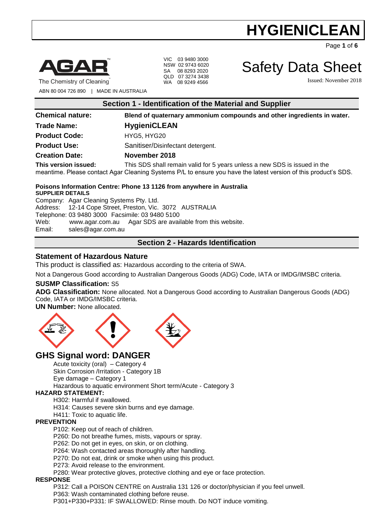Page **1** of **6**



VIC 03 9480 3000 NSW 02 9743 6020 SA 08 8293 2020 QLD 07 3274 3438 WA 08 9249 4566

Safety Data Sheet Issued: November 2018

The Chemistry of Cleaning ABN 80 004 726 890 | MADE IN AUSTRALIA

**Section 1 - Identification of the Material and Supplier**

**Chemical nature: Blend of quaternary ammonium compounds and other ingredients in water.**

### **Trade Name: HygieniCLEAN**

**Product Code:** HYG5, HYG20

Product Use: Sanitiser/Disinfectant detergent.

### **Creation Date: November 2018**

**This version issued:** This SDS shall remain valid for 5 years unless a new SDS is issued in the meantime. Please contact Agar Cleaning Systems P/L to ensure you have the latest version of this product's SDS.

### **Poisons Information Centre: Phone 13 1126 from anywhere in Australia**

**SUPPLIER DETAILS** Company: Agar Cleaning Systems Pty. Ltd. Address: 12-14 Cope Street, Preston, Vic. 3072 AUSTRALIA Telephone: 03 9480 3000 Facsimile: 03 9480 5100 Web: [www.agar.com.au](http://www.agar.com.au/) Agar SDS are available from this website. Email: [sales@agar.com.au](mailto:sales@agar.com.au)

## **Section 2 - Hazards Identification**

### **Statement of Hazardous Nature**

This product is classified as: Hazardous according to the criteria of SWA.

Not a Dangerous Good according to Australian Dangerous Goods (ADG) Code, IATA or IMDG/IMSBC criteria.

### **SUSMP Classification:** S5

**ADG Classification:** None allocated. Not a Dangerous Good according to Australian Dangerous Goods (ADG) Code, IATA or IMDG/IMSBC criteria.

**UN Number:** None allocated.



# **GHS Signal word: DANGER**

Acute toxicity (oral) – Category 4 Skin Corrosion /Irritation - Category 1B Eye damage – Category 1

Hazardous to aquatic environment Short term/Acute - Category 3

### **HAZARD STATEMENT:**

H302: Harmful if swallowed.

H314: Causes severe skin burns and eye damage.

H411: Toxic to aquatic life.

### **PREVENTION**

P102: Keep out of reach of children.

P260: Do not breathe fumes, mists, vapours or spray.

P262: Do not get in eyes, on skin, or on clothing.

P264: Wash contacted areas thoroughly after handling.

P270: Do not eat, drink or smoke when using this product.

P273: Avoid release to the environment.

P280: Wear protective gloves, protective clothing and eye or face protection.

### **RESPONSE**

P312: Call a POISON CENTRE on Australia 131 126 or doctor/physician if you feel unwell. P363: Wash contaminated clothing before reuse.

P301+P330+P331: IF SWALLOWED: Rinse mouth. Do NOT induce vomiting.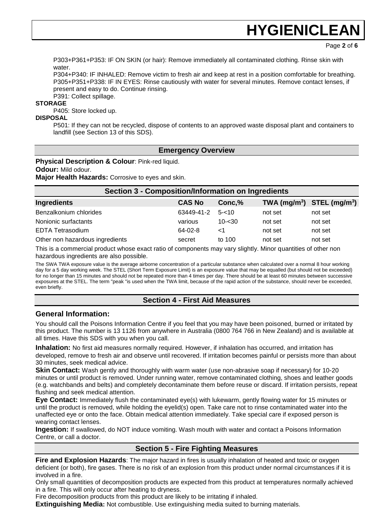Page **2** of **6**

P303+P361+P353: IF ON SKIN (or hair): Remove immediately all contaminated clothing. Rinse skin with water

P304+P340: IF INHALED: Remove victim to fresh air and keep at rest in a position comfortable for breathing. P305+P351+P338: IF IN EYES: Rinse cautiously with water for several minutes. Remove contact lenses, if present and easy to do. Continue rinsing. P391: Collect spillage.

### **STORAGE**

P405: Store locked up.

#### **DISPOSAL**

P501: If they can not be recycled, dispose of contents to an approved waste disposal plant and containers to landfill (see Section 13 of this SDS).

### **Emergency Overview**

**Physical Description & Colour: Pink-red liquid.** 

**Odour:** Mild odour.

**Major Health Hazards:** Corrosive to eyes and skin.

| <b>Section 3 - Composition/Information on Ingredients</b> |               |           |         |                                |  |
|-----------------------------------------------------------|---------------|-----------|---------|--------------------------------|--|
| <b>Ingredients</b>                                        | <b>CAS No</b> | Conc,%    |         | TWA $(mg/m^3)$ STEL $(mg/m^3)$ |  |
| Benzalkonium chlorides                                    | 63449-41-2    | $5 - 10$  | not set | not set                        |  |
| Nonionic surfactants                                      | various       | $10 - 30$ | not set | not set                        |  |
| <b>EDTA Tetrasodium</b>                                   | 64-02-8       | ا>        | not set | not set                        |  |
| Other non hazardous ingredients                           | secret        | to 100    | not set | not set                        |  |

This is a commercial product whose exact ratio of components may vary slightly. Minor quantities of other non hazardous ingredients are also possible.

The SWA TWA exposure value is the average airborne concentration of a particular substance when calculated over a normal 8 hour working day for a 5 day working week. The STEL (Short Term Exposure Limit) is an exposure value that may be equalled (but should not be exceeded) for no longer than 15 minutes and should not be repeated more than 4 times per day. There should be at least 60 minutes between successive exposures at the STEL. The term "peak "is used when the TWA limit, because of the rapid action of the substance, should never be exceeded, even briefly.

## **Section 4 - First Aid Measures**

### **General Information:**

You should call the Poisons Information Centre if you feel that you may have been poisoned, burned or irritated by this product. The number is 13 1126 from anywhere in Australia (0800 764 766 in New Zealand) and is available at all times. Have this SDS with you when you call.

**Inhalation:** No first aid measures normally required. However, if inhalation has occurred, and irritation has developed, remove to fresh air and observe until recovered. If irritation becomes painful or persists more than about 30 minutes, seek medical advice.

**Skin Contact:** Wash gently and thoroughly with warm water (use non-abrasive soap if necessary) for 10-20 minutes or until product is removed. Under running water, remove contaminated clothing, shoes and leather goods (e.g. watchbands and belts) and completely decontaminate them before reuse or discard. If irritation persists, repeat flushing and seek medical attention.

**Eye Contact:** Immediately flush the contaminated eye(s) with lukewarm, gently flowing water for 15 minutes or until the product is removed, while holding the eyelid(s) open. Take care not to rinse contaminated water into the unaffected eye or onto the face. Obtain medical attention immediately. Take special care if exposed person is wearing contact lenses.

**Ingestion:** If swallowed, do NOT induce vomiting. Wash mouth with water and contact a Poisons Information Centre, or call a doctor.

### **Section 5 - Fire Fighting Measures**

**Fire and Explosion Hazards**: The major hazard in fires is usually inhalation of heated and toxic or oxygen deficient (or both), fire gases. There is no risk of an explosion from this product under normal circumstances if it is involved in a fire.

Only small quantities of decomposition products are expected from this product at temperatures normally achieved in a fire. This will only occur after heating to dryness.

Fire decomposition products from this product are likely to be irritating if inhaled.

**Extinguishing Media:** Not combustible. Use extinguishing media suited to burning materials.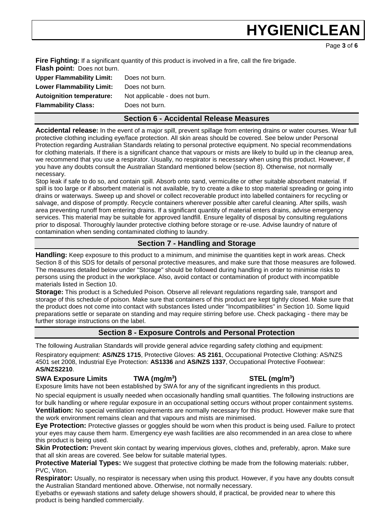Page **3** of **6**

**Fire Fighting:** If a significant quantity of this product is involved in a fire, call the fire brigade. **Flash point:** Does not burn.

| <b>Upper Flammability Limit:</b> | Does not burn.                  |
|----------------------------------|---------------------------------|
| <b>Lower Flammability Limit:</b> | Does not burn.                  |
| <b>Autoignition temperature:</b> | Not applicable - does not burn. |
| <b>Flammability Class:</b>       | Does not burn.                  |
|                                  |                                 |

### **Section 6 - Accidental Release Measures**

**Accidental release:** In the event of a major spill, prevent spillage from entering drains or water courses. Wear full protective clothing including eye/face protection. All skin areas should be covered. See below under Personal Protection regarding Australian Standards relating to personal protective equipment. No special recommendations for clothing materials. If there is a significant chance that vapours or mists are likely to build up in the cleanup area, we recommend that you use a respirator. Usually, no respirator is necessary when using this product. However, if you have any doubts consult the Australian Standard mentioned below (section 8). Otherwise, not normally necessary.

Stop leak if safe to do so, and contain spill. Absorb onto sand, vermiculite or other suitable absorbent material. If spill is too large or if absorbent material is not available, try to create a dike to stop material spreading or going into drains or waterways. Sweep up and shovel or collect recoverable product into labelled containers for recycling or salvage, and dispose of promptly. Recycle containers wherever possible after careful cleaning. After spills, wash area preventing runoff from entering drains. If a significant quantity of material enters drains, advise emergency services. This material may be suitable for approved landfill. Ensure legality of disposal by consulting regulations prior to disposal. Thoroughly launder protective clothing before storage or re-use. Advise laundry of nature of contamination when sending contaminated clothing to laundry.

### **Section 7 - Handling and Storage**

**Handling:** Keep exposure to this product to a minimum, and minimise the quantities kept in work areas. Check Section 8 of this SDS for details of personal protective measures, and make sure that those measures are followed. The measures detailed below under "Storage" should be followed during handling in order to minimise risks to persons using the product in the workplace. Also, avoid contact or contamination of product with incompatible materials listed in Section 10.

**Storage:** This product is a Scheduled Poison. Observe all relevant regulations regarding sale, transport and storage of this schedule of poison. Make sure that containers of this product are kept tightly closed. Make sure that the product does not come into contact with substances listed under "Incompatibilities" in Section 10. Some liquid preparations settle or separate on standing and may require stirring before use. Check packaging - there may be further storage instructions on the label.

### **Section 8 - Exposure Controls and Personal Protection**

The following Australian Standards will provide general advice regarding safety clothing and equipment: Respiratory equipment: **AS/NZS 1715**, Protective Gloves: **AS 2161**, Occupational Protective Clothing: AS/NZS 4501 set 2008, Industrial Eye Protection: **AS1336** and **AS/NZS 1337**, Occupational Protective Footwear:

### **AS/NZS2210**.

## **SWA Exposure Limits TWA (mg/m<sup>3</sup>**

Exposure limits have not been established by SWA for any of the significant ingredients in this product.

No special equipment is usually needed when occasionally handling small quantities. The following instructions are for bulk handling or where regular exposure in an occupational setting occurs without proper containment systems. **Ventilation:** No special ventilation requirements are normally necessary for this product. However make sure that the work environment remains clean and that vapours and mists are minimised.

**Eye Protection:** Protective glasses or goggles should be worn when this product is being used. Failure to protect your eyes may cause them harm. Emergency eye wash facilities are also recommended in an area close to where this product is being used.

**Skin Protection:** Prevent skin contact by wearing impervious gloves, clothes and, preferably, apron. Make sure that all skin areas are covered. See below for suitable material types.

**Protective Material Types:** We suggest that protective clothing be made from the following materials: rubber, PVC, Viton.

**Respirator:** Usually, no respirator is necessary when using this product. However, if you have any doubts consult the Australian Standard mentioned above. Otherwise, not normally necessary.

Eyebaths or eyewash stations and safety deluge showers should, if practical, be provided near to where this product is being handled commercially.

### **) STEL (mg/m<sup>3</sup> )**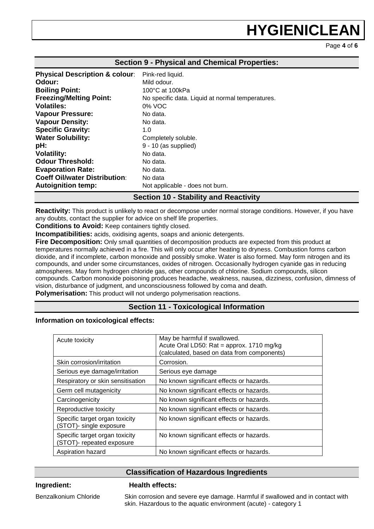Page **4** of **6**

| <b>Section 9 - Physical and Chemical Properties:</b> |                                                  |  |
|------------------------------------------------------|--------------------------------------------------|--|
| <b>Physical Description &amp; colour:</b>            | Pink-red liquid.                                 |  |
| Odour:                                               | Mild odour.                                      |  |
| <b>Boiling Point:</b>                                | 100°C at 100kPa                                  |  |
| <b>Freezing/Melting Point:</b>                       | No specific data. Liquid at normal temperatures. |  |
| <b>Volatiles:</b>                                    | 0% VOC                                           |  |
| <b>Vapour Pressure:</b>                              | No data.                                         |  |
| <b>Vapour Density:</b>                               | No data.                                         |  |
| <b>Specific Gravity:</b>                             | 1.0                                              |  |
| <b>Water Solubility:</b>                             | Completely soluble.                              |  |
| pH:                                                  | $9 - 10$ (as supplied)                           |  |
| <b>Volatility:</b>                                   | No data.                                         |  |
| <b>Odour Threshold:</b>                              | No data.                                         |  |
| <b>Evaporation Rate:</b>                             | No data.                                         |  |
| <b>Coeff Oil/water Distribution:</b>                 | No data                                          |  |
| <b>Autoignition temp:</b>                            | Not applicable - does not burn.                  |  |

### **Section 10 - Stability and Reactivity**

**Reactivity:** This product is unlikely to react or decompose under normal storage conditions. However, if you have any doubts, contact the supplier for advice on shelf life properties.

**Conditions to Avoid:** Keep containers tightly closed.

**Incompatibilities:** acids, oxidising agents, soaps and anionic detergents.

**Fire Decomposition:** Only small quantities of decomposition products are expected from this product at temperatures normally achieved in a fire. This will only occur after heating to dryness. Combustion forms carbon dioxide, and if incomplete, carbon monoxide and possibly smoke. Water is also formed. May form nitrogen and its compounds, and under some circumstances, oxides of nitrogen. Occasionally hydrogen cyanide gas in reducing atmospheres. May form hydrogen chloride gas, other compounds of chlorine. Sodium compounds, silicon compounds. Carbon monoxide poisoning produces headache, weakness, nausea, dizziness, confusion, dimness of vision, disturbance of judgment, and unconsciousness followed by coma and death. **Polymerisation:** This product will not undergo polymerisation reactions.

### **Section 11 - Toxicological Information**

#### **Information on toxicological effects:**

| Acute toxicity                                              | May be harmful if swallowed.<br>Acute Oral LD50: Rat = approx. 1710 mg/kg<br>(calculated, based on data from components) |
|-------------------------------------------------------------|--------------------------------------------------------------------------------------------------------------------------|
| Skin corrosion/irritation                                   | Corrosion.                                                                                                               |
| Serious eye damage/irritation                               | Serious eye damage                                                                                                       |
| Respiratory or skin sensitisation                           | No known significant effects or hazards.                                                                                 |
| Germ cell mutagenicity                                      | No known significant effects or hazards.                                                                                 |
| Carcinogenicity                                             | No known significant effects or hazards.                                                                                 |
| Reproductive toxicity                                       | No known significant effects or hazards.                                                                                 |
| Specific target organ toxicity<br>(STOT)- single exposure   | No known significant effects or hazards.                                                                                 |
| Specific target organ toxicity<br>(STOT)- repeated exposure | No known significant effects or hazards.                                                                                 |
| Aspiration hazard                                           | No known significant effects or hazards.                                                                                 |

### **Classification of Hazardous Ingredients**

### **Ingredient: Health effects:**

Benzalkonium Chloride Skin corrosion and severe eye damage. Harmful if swallowed and in contact with skin. Hazardous to the aquatic environment (acute) - category 1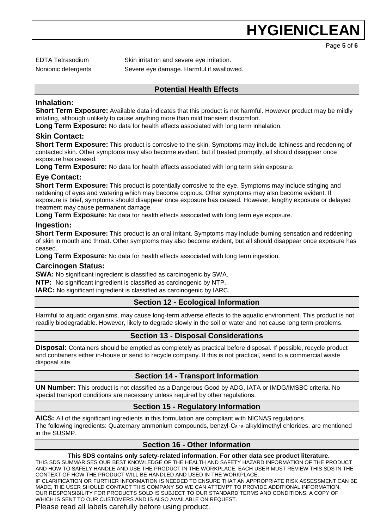Page **5** of **6**

EDTA Tetrasodium Skin irritation and severe eye irritation.

Nonionic detergents Severe eye damage. Harmful if swallowed.

### **Potential Health Effects**

### **Inhalation:**

**Short Term Exposure:** Available data indicates that this product is not harmful. However product may be mildly irritating, although unlikely to cause anything more than mild transient discomfort.

**Long Term Exposure:** No data for health effects associated with long term inhalation.

### **Skin Contact:**

**Short Term Exposure:** This product is corrosive to the skin. Symptoms may include itchiness and reddening of contacted skin. Other symptoms may also become evident, but if treated promptly, all should disappear once exposure has ceased.

**Long Term Exposure:** No data for health effects associated with long term skin exposure.

### **Eye Contact:**

**Short Term Exposure:** This product is potentially corrosive to the eye. Symptoms may include stinging and reddening of eyes and watering which may become copious. Other symptoms may also become evident. If exposure is brief, symptoms should disappear once exposure has ceased. However, lengthy exposure or delayed treatment may cause permanent damage.

**Long Term Exposure:** No data for health effects associated with long term eye exposure.

### **Ingestion:**

**Short Term Exposure:** This product is an oral irritant. Symptoms may include burning sensation and reddening of skin in mouth and throat. Other symptoms may also become evident, but all should disappear once exposure has ceased.

**Long Term Exposure:** No data for health effects associated with long term ingestion.

### **Carcinogen Status:**

**SWA:** No significant ingredient is classified as carcinogenic by SWA.

**NTP:** No significant ingredient is classified as carcinogenic by NTP.

**IARC:** No significant ingredient is classified as carcinogenic by IARC.

### **Section 12 - Ecological Information**

Harmful to aquatic organisms, may cause long-term adverse effects to the aquatic environment. This product is not readily biodegradable. However, likely to degrade slowly in the soil or water and not cause long term problems.

### **Section 13 - Disposal Considerations**

**Disposal:** Containers should be emptied as completely as practical before disposal. If possible, recycle product and containers either in-house or send to recycle company. If this is not practical, send to a commercial waste disposal site.

### **Section 14 - Transport Information**

**UN Number:** This product is not classified as a Dangerous Good by ADG, IATA or IMDG/IMSBC criteria. No special transport conditions are necessary unless required by other regulations.

### **Section 15 - Regulatory Information**

**AICS:** All of the significant ingredients in this formulation are compliant with NICNAS regulations. The following ingredients: Quaternary ammonium compounds, benzyl-C<sub>8-18</sub>-alkyldimethyl chlorides, are mentioned in the SUSMP.

### **Section 16 - Other Information**

#### **This SDS contains only safety-related information. For other data see product literature.**

THIS SDS SUMMARISES OUR BEST KNOWLEDGE OF THE HEALTH AND SAFETY HAZARD INFORMATION OF THE PRODUCT AND HOW TO SAFELY HANDLE AND USE THE PRODUCT IN THE WORKPLACE. EACH USER MUST REVIEW THIS SDS IN THE CONTEXT OF HOW THE PRODUCT WILL BE HANDLED AND USED IN THE WORKPLACE.

IF CLARIFICATION OR FURTHER INFORMATION IS NEEDED TO ENSURE THAT AN APPROPRIATE RISK ASSESSMENT CAN BE MADE, THE USER SHOULD CONTACT THIS COMPANY SO WE CAN ATTEMPT TO PROVIDE ADDITIONAL INFORMATION. OUR RESPONSIBILITY FOR PRODUCTS SOLD IS SUBJECT TO OUR STANDARD TERMS AND CONDITIONS, A COPY OF WHICH IS SENT TO OUR CUSTOMERS AND IS ALSO AVAILABLE ON REQUEST.

Please read all labels carefully before using product.